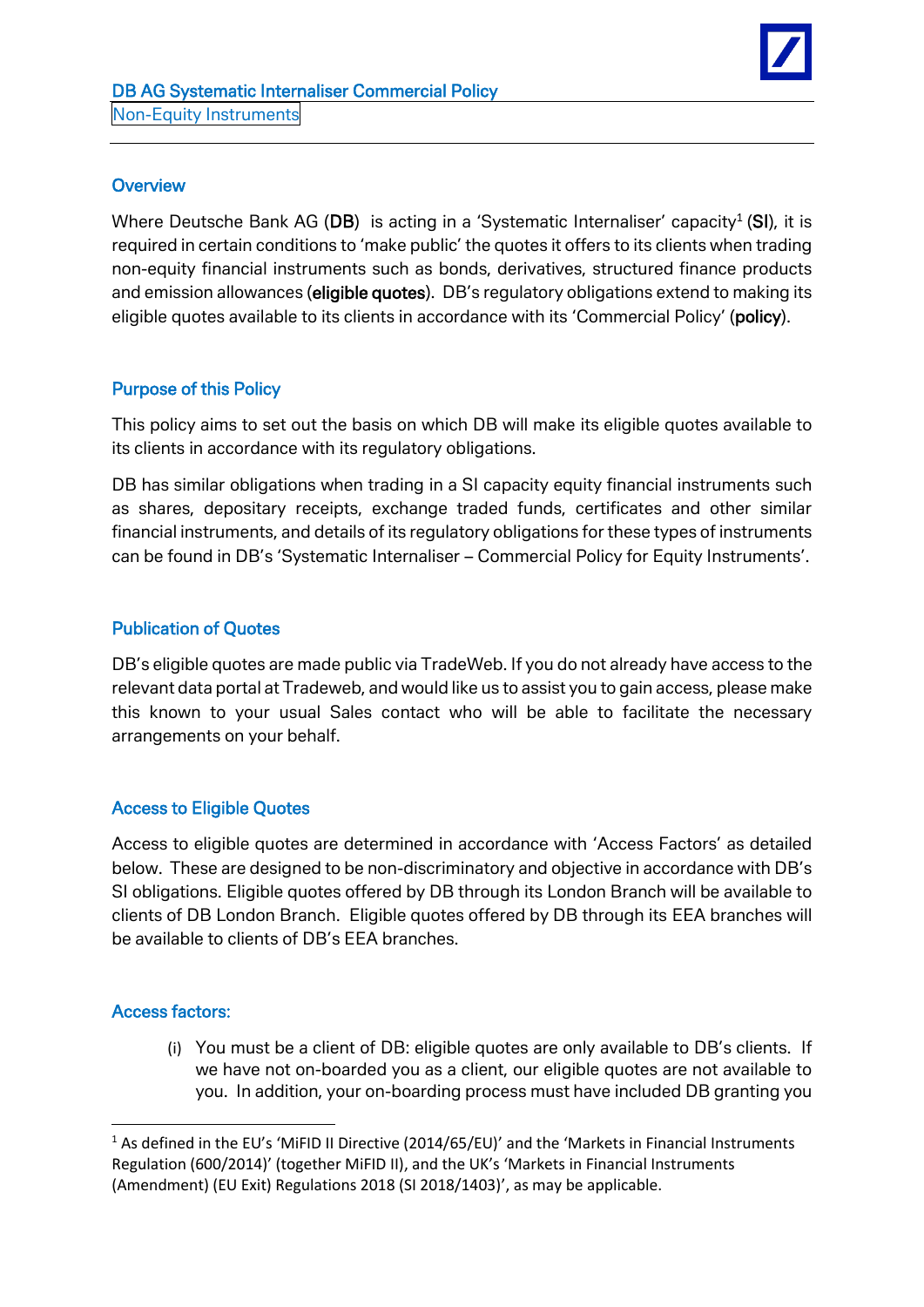

### **Overview**

Where Deutsche Bank AG (DB) is acting in a 'Systematic Internaliser' capacity<sup>1</sup> (SI), it is required in certain conditions to 'make public' the quotes it offers to its clients when trading non-equity financial instruments such as bonds, derivatives, structured finance products and emission allowances (eligible quotes). DB's regulatory obligations extend to making its eligible quotes available to its clients in accordance with its 'Commercial Policy' (policy).

## Purpose of this Policy

This policy aims to set out the basis on which DB will make its eligible quotes available to its clients in accordance with its regulatory obligations.

DB has similar obligations when trading in a SI capacity equity financial instruments such as shares, depositary receipts, exchange traded funds, certificates and other similar financial instruments, and details of its regulatory obligations for these types of instruments can be found in DB's 'Systematic Internaliser – Commercial Policy for Equity Instruments'.

# Publication of Quotes

DB's eligible quotes are made public via TradeWeb. If you do not already have access to the relevant data portal at Tradeweb, and would like us to assist you to gain access, please make this known to your usual Sales contact who will be able to facilitate the necessary arrangements on your behalf.

## Access to Eligible Quotes

Access to eligible quotes are determined in accordance with 'Access Factors' as detailed below. These are designed to be non-discriminatory and objective in accordance with DB's SI obligations. Eligible quotes offered by DB through its London Branch will be available to clients of DB London Branch. Eligible quotes offered by DB through its EEA branches will be available to clients of DB's EEA branches.

## Access factors:

1

(i) You must be a client of DB: eligible quotes are only available to DB's clients. If we have not on-boarded you as a client, our eligible quotes are not available to you. In addition, your on-boarding process must have included DB granting you

<sup>&</sup>lt;sup>1</sup> As defined in the EU's 'MiFID II Directive (2014/65/EU)' and the 'Markets in Financial Instruments Regulation (600/2014)' (together MiFID II), and the UK's 'Markets in Financial Instruments (Amendment) (EU Exit) Regulations 2018 (SI 2018/1403)', as may be applicable.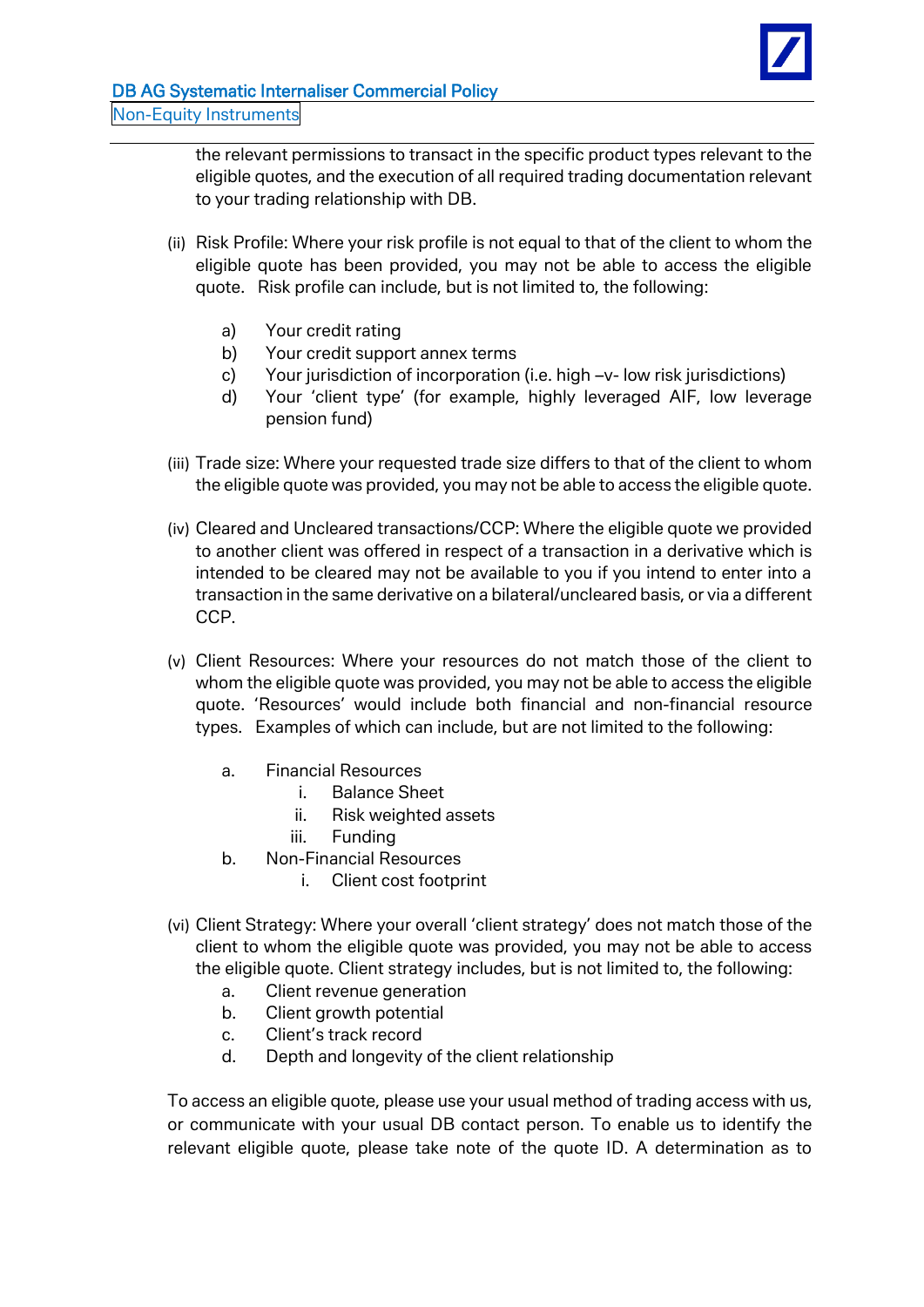

the relevant permissions to transact in the specific product types relevant to the eligible quotes, and the execution of all required trading documentation relevant to your trading relationship with DB.

- (ii) Risk Profile: Where your risk profile is not equal to that of the client to whom the eligible quote has been provided, you may not be able to access the eligible quote. Risk profile can include, but is not limited to, the following:
	- a) Your credit rating
	- b) Your credit support annex terms
	- c) Your jurisdiction of incorporation (i.e. high –v- low risk jurisdictions)
	- d) Your 'client type' (for example, highly leveraged AIF, low leverage pension fund)
- (iii) Trade size: Where your requested trade size differs to that of the client to whom the eligible quote was provided, you may not be able to access the eligible quote.
- (iv) Cleared and Uncleared transactions/CCP: Where the eligible quote we provided to another client was offered in respect of a transaction in a derivative which is intended to be cleared may not be available to you if you intend to enter into a transaction in the same derivative on a bilateral/uncleared basis, or via a different CCP.
- (v) Client Resources: Where your resources do not match those of the client to whom the eligible quote was provided, you may not be able to access the eligible quote. 'Resources' would include both financial and non-financial resource types. Examples of which can include, but are not limited to the following:
	- a. Financial Resources
		- i. Balance Sheet
		- ii. Risk weighted assets
		- iii. Funding
	- b. Non-Financial Resources
		- i. Client cost footprint
- (vi) Client Strategy: Where your overall 'client strategy' does not match those of the client to whom the eligible quote was provided, you may not be able to access the eligible quote. Client strategy includes, but is not limited to, the following:
	- a. Client revenue generation
	- b. Client growth potential
	- c. Client's track record
	- d. Depth and longevity of the client relationship

To access an eligible quote, please use your usual method of trading access with us, or communicate with your usual DB contact person. To enable us to identify the relevant eligible quote, please take note of the quote ID. A determination as to